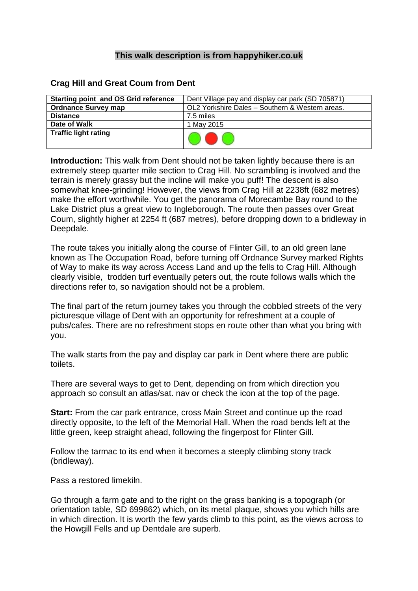## **This walk description is from happyhiker.co.uk**

## **Crag Hill and Great Coum from Dent**

| <b>Starting point and OS Grid reference</b> | Dent Village pay and display car park (SD 705871) |
|---------------------------------------------|---------------------------------------------------|
| <b>Ordnance Survey map</b>                  | OL2 Yorkshire Dales - Southern & Western areas.   |
| <b>Distance</b>                             | 7.5 miles                                         |
| Date of Walk                                | 1 May 2015                                        |
| <b>Traffic light rating</b>                 |                                                   |

**Introduction:** This walk from Dent should not be taken lightly because there is an extremely steep quarter mile section to Crag Hill. No scrambling is involved and the terrain is merely grassy but the incline will make you puff! The descent is also somewhat knee-grinding! However, the views from Crag Hill at 2238ft (682 metres) make the effort worthwhile. You get the panorama of Morecambe Bay round to the Lake District plus a great view to Ingleborough. The route then passes over Great Coum, slightly higher at 2254 ft (687 metres), before dropping down to a bridleway in Deepdale.

The route takes you initially along the course of Flinter Gill, to an old green lane known as The Occupation Road, before turning off Ordnance Survey marked Rights of Way to make its way across Access Land and up the fells to Crag Hill. Although clearly visible, trodden turf eventually peters out, the route follows walls which the directions refer to, so navigation should not be a problem.

The final part of the return journey takes you through the cobbled streets of the very picturesque village of Dent with an opportunity for refreshment at a couple of pubs/cafes. There are no refreshment stops en route other than what you bring with you.

The walk starts from the pay and display car park in Dent where there are public toilets.

There are several ways to get to Dent, depending on from which direction you approach so consult an atlas/sat. nav or check the icon at the top of the page.

**Start:** From the car park entrance, cross Main Street and continue up the road directly opposite, to the left of the Memorial Hall. When the road bends left at the little green, keep straight ahead, following the fingerpost for Flinter Gill.

Follow the tarmac to its end when it becomes a steeply climbing stony track (bridleway).

Pass a restored limekiln.

Go through a farm gate and to the right on the grass banking is a topograph (or orientation table, SD 699862) which, on its metal plaque, shows you which hills are in which direction. It is worth the few yards climb to this point, as the views across to the Howgill Fells and up Dentdale are superb.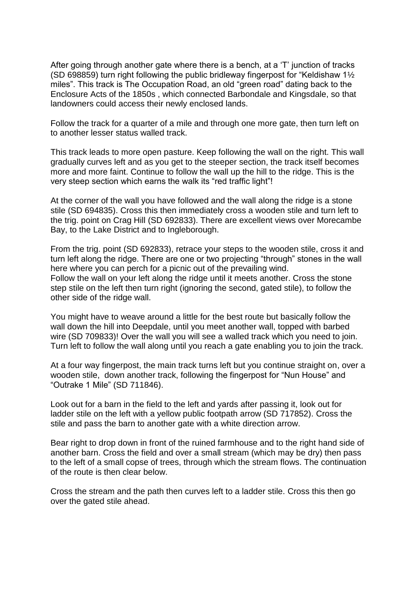After going through another gate where there is a bench, at a 'T' junction of tracks (SD 698859) turn right following the public bridleway fingerpost for "Keldishaw 1½ miles". This track is The Occupation Road, an old "green road" dating back to the Enclosure Acts of the 1850s , which connected Barbondale and Kingsdale, so that landowners could access their newly enclosed lands.

Follow the track for a quarter of a mile and through one more gate, then turn left on to another lesser status walled track.

This track leads to more open pasture. Keep following the wall on the right. This wall gradually curves left and as you get to the steeper section, the track itself becomes more and more faint. Continue to follow the wall up the hill to the ridge. This is the very steep section which earns the walk its "red traffic light"!

At the corner of the wall you have followed and the wall along the ridge is a stone stile (SD 694835). Cross this then immediately cross a wooden stile and turn left to the trig. point on Crag Hill (SD 692833). There are excellent views over Morecambe Bay, to the Lake District and to Ingleborough.

From the trig. point (SD 692833), retrace your steps to the wooden stile, cross it and turn left along the ridge. There are one or two projecting "through" stones in the wall here where you can perch for a picnic out of the prevailing wind. Follow the wall on your left along the ridge until it meets another. Cross the stone step stile on the left then turn right (ignoring the second, gated stile), to follow the other side of the ridge wall.

You might have to weave around a little for the best route but basically follow the wall down the hill into Deepdale, until you meet another wall, topped with barbed wire (SD 709833)! Over the wall you will see a walled track which you need to join. Turn left to follow the wall along until you reach a gate enabling you to join the track.

At a four way fingerpost, the main track turns left but you continue straight on, over a wooden stile, down another track, following the fingerpost for "Nun House" and "Outrake 1 Mile" (SD 711846).

Look out for a barn in the field to the left and yards after passing it, look out for ladder stile on the left with a yellow public footpath arrow (SD 717852). Cross the stile and pass the barn to another gate with a white direction arrow.

Bear right to drop down in front of the ruined farmhouse and to the right hand side of another barn. Cross the field and over a small stream (which may be dry) then pass to the left of a small copse of trees, through which the stream flows. The continuation of the route is then clear below.

Cross the stream and the path then curves left to a ladder stile. Cross this then go over the gated stile ahead.